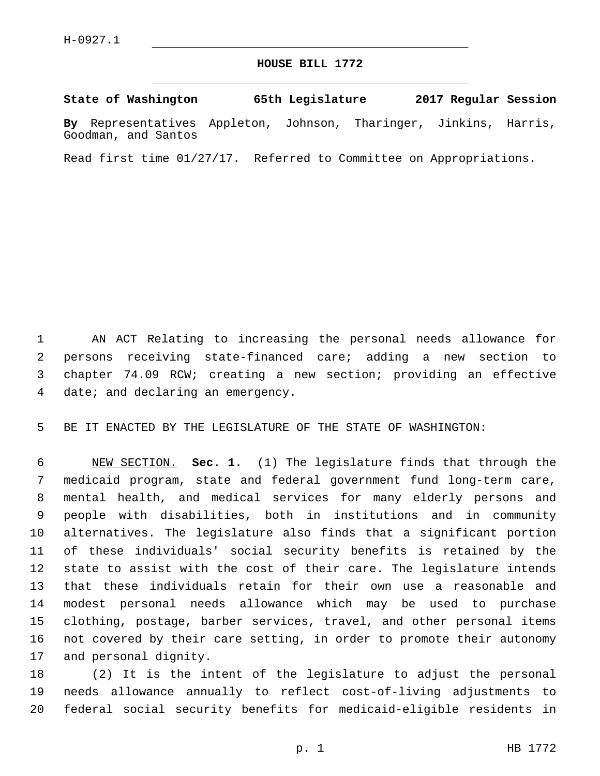Goodman, and Santos

## **HOUSE BILL 1772**

**State of Washington 65th Legislature 2017 Regular Session By** Representatives Appleton, Johnson, Tharinger, Jinkins, Harris,

Read first time 01/27/17. Referred to Committee on Appropriations.

 AN ACT Relating to increasing the personal needs allowance for persons receiving state-financed care; adding a new section to chapter 74.09 RCW; creating a new section; providing an effective 4 date; and declaring an emergency.

BE IT ENACTED BY THE LEGISLATURE OF THE STATE OF WASHINGTON:

 NEW SECTION. **Sec. 1.** (1) The legislature finds that through the medicaid program, state and federal government fund long-term care, mental health, and medical services for many elderly persons and people with disabilities, both in institutions and in community alternatives. The legislature also finds that a significant portion of these individuals' social security benefits is retained by the state to assist with the cost of their care. The legislature intends that these individuals retain for their own use a reasonable and modest personal needs allowance which may be used to purchase clothing, postage, barber services, travel, and other personal items not covered by their care setting, in order to promote their autonomy and personal dignity.

 (2) It is the intent of the legislature to adjust the personal needs allowance annually to reflect cost-of-living adjustments to federal social security benefits for medicaid-eligible residents in